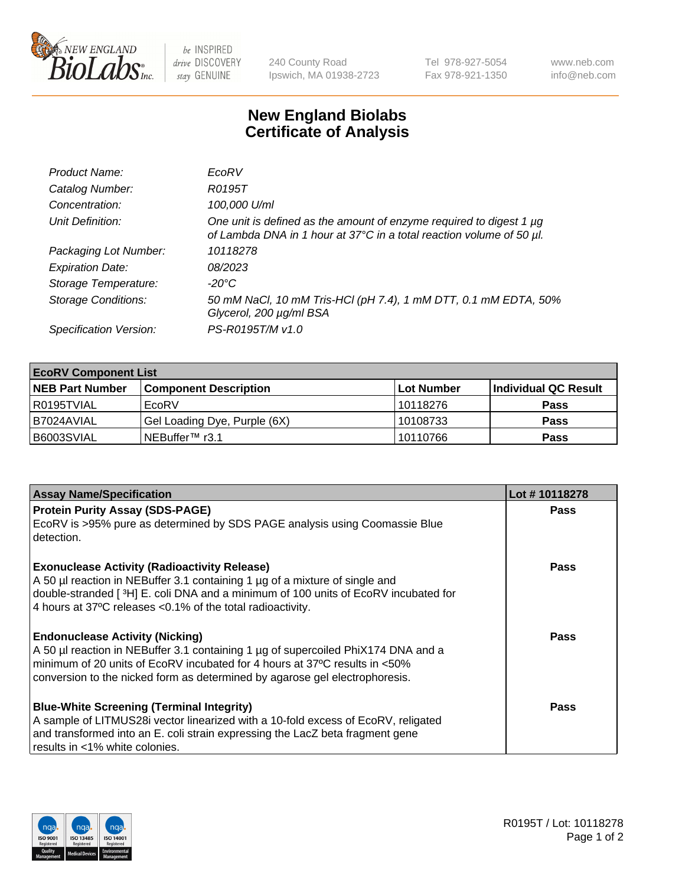

 $be$  INSPIRED drive DISCOVERY stay GENUINE

240 County Road Ipswich, MA 01938-2723 Tel 978-927-5054 Fax 978-921-1350 www.neb.com info@neb.com

## **New England Biolabs Certificate of Analysis**

| Product Name:              | EcoRV                                                                                                                                       |
|----------------------------|---------------------------------------------------------------------------------------------------------------------------------------------|
| Catalog Number:            | R0195T                                                                                                                                      |
| Concentration:             | 100,000 U/ml                                                                                                                                |
| Unit Definition:           | One unit is defined as the amount of enzyme required to digest 1 µg<br>of Lambda DNA in 1 hour at 37°C in a total reaction volume of 50 µl. |
| Packaging Lot Number:      | 10118278                                                                                                                                    |
| <b>Expiration Date:</b>    | 08/2023                                                                                                                                     |
| Storage Temperature:       | $-20^{\circ}$ C                                                                                                                             |
| <b>Storage Conditions:</b> | 50 mM NaCl, 10 mM Tris-HCl (pH 7.4), 1 mM DTT, 0.1 mM EDTA, 50%<br>Glycerol, 200 µg/ml BSA                                                  |
| Specification Version:     | PS-R0195T/M v1.0                                                                                                                            |

| <b>EcoRV Component List</b> |                              |            |                      |  |  |
|-----------------------------|------------------------------|------------|----------------------|--|--|
| <b>NEB Part Number</b>      | <b>Component Description</b> | Lot Number | Individual QC Result |  |  |
| I R0195TVIAL                | EcoRV                        | 10118276   | <b>Pass</b>          |  |  |
| I B7024AVIAL                | Gel Loading Dye, Purple (6X) | 10108733   | <b>Pass</b>          |  |  |
| B6003SVIAL                  | INEBuffer™ r3.1              | 10110766   | <b>Pass</b>          |  |  |

| <b>Assay Name/Specification</b>                                                                                                                                                                                                                                                                      | Lot #10118278 |
|------------------------------------------------------------------------------------------------------------------------------------------------------------------------------------------------------------------------------------------------------------------------------------------------------|---------------|
| <b>Protein Purity Assay (SDS-PAGE)</b><br>EcoRV is >95% pure as determined by SDS PAGE analysis using Coomassie Blue<br>detection.                                                                                                                                                                   | <b>Pass</b>   |
| <b>Exonuclease Activity (Radioactivity Release)</b><br>A 50 µl reaction in NEBuffer 3.1 containing 1 µg of a mixture of single and<br>double-stranded [ <sup>3</sup> H] E. coli DNA and a minimum of 100 units of EcoRV incubated for<br>4 hours at 37°C releases < 0.1% of the total radioactivity. | Pass          |
| <b>Endonuclease Activity (Nicking)</b><br>A 50 µl reaction in NEBuffer 3.1 containing 1 µg of supercoiled PhiX174 DNA and a<br>minimum of 20 units of EcoRV incubated for 4 hours at 37°C results in <50%<br>conversion to the nicked form as determined by agarose gel electrophoresis.             | Pass          |
| <b>Blue-White Screening (Terminal Integrity)</b><br>A sample of LITMUS28i vector linearized with a 10-fold excess of EcoRV, religated<br>and transformed into an E. coli strain expressing the LacZ beta fragment gene<br>results in <1% white colonies.                                             | <b>Pass</b>   |